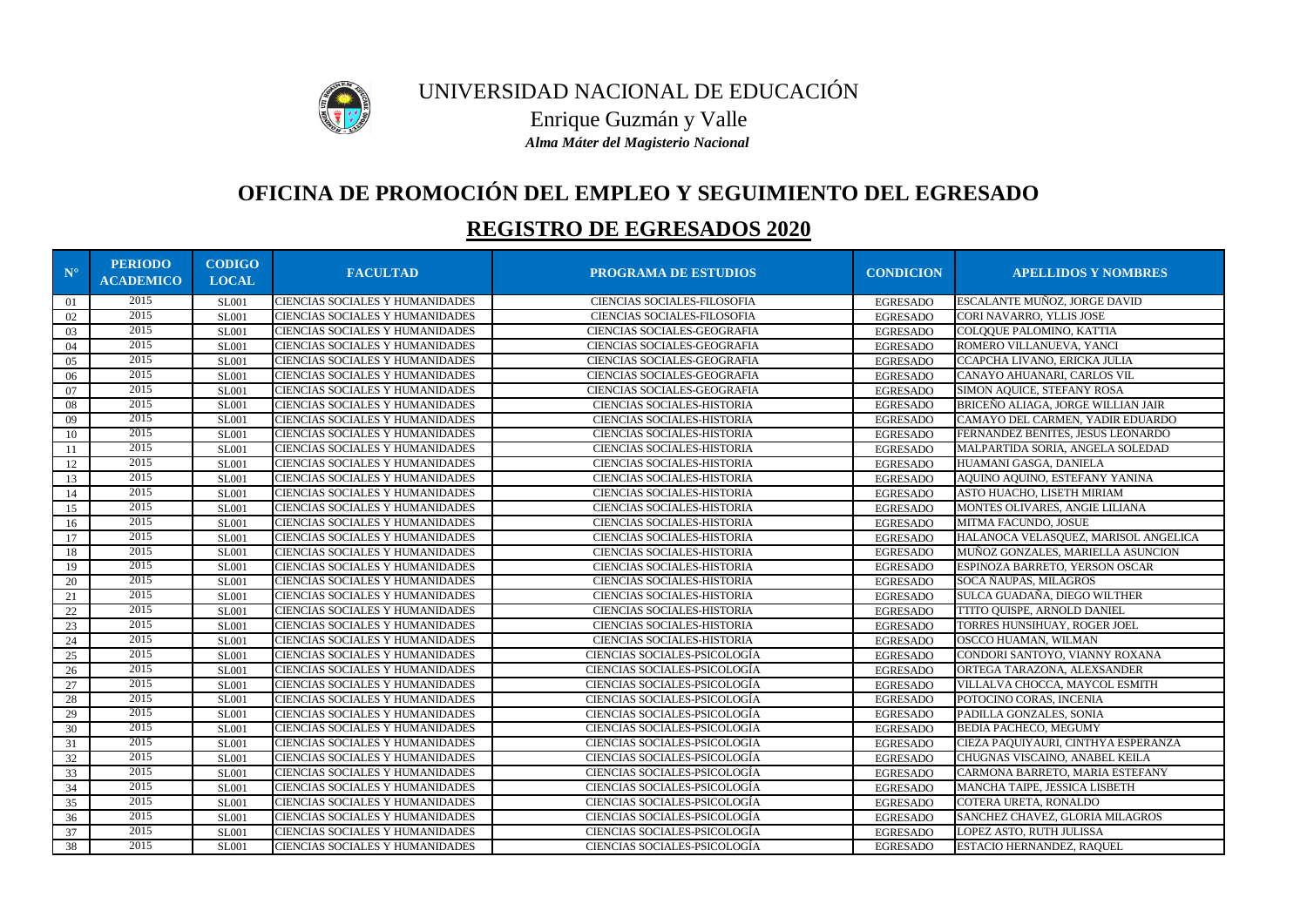| $N^{\circ}$   | <b>PERIODO</b><br><b>ACADEMICO</b> | <b>CODIGO</b><br><b>LOCAL</b> | <b>FACULTAD</b>                        | <b>PROGRAMA DE ESTUDIOS</b>         | <b>CONDICION</b> | <b>APELLIDOS Y NOMBRES</b>           |
|---------------|------------------------------------|-------------------------------|----------------------------------------|-------------------------------------|------------------|--------------------------------------|
| 01            | 2015                               | <b>SL001</b>                  | CIENCIAS SOCIALES Y HUMANIDADES        | CIENCIAS SOCIALES-FILOSOFIA         | <b>EGRESADO</b>  | ESCALANTE MUÑOZ, JORGE DAVID         |
| 02            | 2015                               | <b>SL001</b>                  | CIENCIAS SOCIALES Y HUMANIDADES        | CIENCIAS SOCIALES-FILOSOFIA         | <b>EGRESADO</b>  | CORI NAVARRO, YLLIS JOSE             |
| 03            | 2015                               | <b>SL001</b>                  | CIENCIAS SOCIALES Y HUMANIDADES        | CIENCIAS SOCIALES-GEOGRAFIA         | <b>EGRESADO</b>  | COLQQUE PALOMINO, KATTIA             |
| 04            | 2015                               | <b>SL001</b>                  | CIENCIAS SOCIALES Y HUMANIDADES        | CIENCIAS SOCIALES-GEOGRAFIA         | <b>EGRESADO</b>  | ROMERO VILLANUEVA, YANCI             |
| 05            | 2015                               | <b>SL001</b>                  | CIENCIAS SOCIALES Y HUMANIDADES        | CIENCIAS SOCIALES-GEOGRAFIA         | <b>EGRESADO</b>  | CCAPCHA LIVANO, ERICKA JULIA         |
| 06            | 2015                               | <b>SL001</b>                  | CIENCIAS SOCIALES Y HUMANIDADES        | CIENCIAS SOCIALES-GEOGRAFIA         | <b>EGRESADO</b>  | CANAYO AHUANARI, CARLOS VIL          |
| 07            | 2015                               | <b>SL001</b>                  | CIENCIAS SOCIALES Y HUMANIDADES        | CIENCIAS SOCIALES-GEOGRAFIA         | <b>EGRESADO</b>  | SIMON AQUICE, STEFANY ROSA           |
| 08            | 2015                               | <b>SL001</b>                  | CIENCIAS SOCIALES Y HUMANIDADES        | CIENCIAS SOCIALES-HISTORIA          | <b>EGRESADO</b>  | BRICEÑO ALIAGA, JORGE WILLIAN JAIR   |
| 09            | 2015                               | <b>SL001</b>                  | CIENCIAS SOCIALES Y HUMANIDADES        | CIENCIAS SOCIALES-HISTORIA          | <b>EGRESADO</b>  | CAMAYO DEL CARMEN, YADIR EDUARDO     |
| 10            | 2015                               | <b>SL001</b>                  | CIENCIAS SOCIALES Y HUMANIDADES        | CIENCIAS SOCIALES-HISTORIA          | <b>EGRESADO</b>  | FERNANDEZ BENITES, JESUS LEONARDO    |
| <sup>11</sup> | 2015                               | <b>SL001</b>                  | CIENCIAS SOCIALES Y HUMANIDADES        | CIENCIAS SOCIALES-HISTORIA          | <b>EGRESADO</b>  | MALPARTIDA SORIA, ANGELA SOLEDAD     |
| 12            | 2015                               | <b>SL001</b>                  | CIENCIAS SOCIALES Y HUMANIDADES        | CIENCIAS SOCIALES-HISTORIA          | <b>EGRESADO</b>  | HUAMANI GASGA, DANIELA               |
| 13            | 2015                               | <b>SL001</b>                  | CIENCIAS SOCIALES Y HUMANIDADES        | <b>CIENCIAS SOCIALES-HISTORIA</b>   | <b>EGRESADO</b>  | AQUINO AQUINO, ESTEFANY YANINA       |
| 14            | 2015                               | <b>SL001</b>                  | CIENCIAS SOCIALES Y HUMANIDADES        | <b>CIENCIAS SOCIALES-HISTORIA</b>   | <b>EGRESADO</b>  | ASTO HUACHO, LISETH MIRIAM           |
| 15            | 2015                               | <b>SL001</b>                  | CIENCIAS SOCIALES Y HUMANIDADES        | CIENCIAS SOCIALES-HISTORIA          | <b>EGRESADO</b>  | MONTES OLIVARES, ANGIE LILIANA       |
| 16            | 2015                               | <b>SL001</b>                  | CIENCIAS SOCIALES Y HUMANIDADES        | CIENCIAS SOCIALES-HISTORIA          | <b>EGRESADO</b>  | MITMA FACUNDO, JOSUE                 |
| 17            | 2015                               | <b>SL001</b>                  | CIENCIAS SOCIALES Y HUMANIDADES        | CIENCIAS SOCIALES-HISTORIA          | <b>EGRESADO</b>  | HALANOCA VELASQUEZ, MARISOL ANGELICA |
| 18            | 2015                               | <b>SL001</b>                  | CIENCIAS SOCIALES Y HUMANIDADES        | CIENCIAS SOCIALES-HISTORIA          | <b>EGRESADO</b>  | MUÑOZ GONZALES, MARIELLA ASUNCION    |
| 19            | 2015                               | <b>SL001</b>                  | CIENCIAS SOCIALES Y HUMANIDADES        | <b>CIENCIAS SOCIALES-HISTORIA</b>   | <b>EGRESADO</b>  | ESPINOZA BARRETO, YERSON OSCAR       |
| 20            | 2015                               | <b>SL001</b>                  | CIENCIAS SOCIALES Y HUMANIDADES        | <b>CIENCIAS SOCIALES-HISTORIA</b>   | <b>EGRESADO</b>  | SOCA ÑAUPAS, MILAGROS                |
| 21            | 2015                               | <b>SL001</b>                  | CIENCIAS SOCIALES Y HUMANIDADES        | CIENCIAS SOCIALES-HISTORIA          | <b>EGRESADO</b>  | SULCA GUADAÑA, DIEGO WILTHER         |
| 22            | 2015                               | <b>SL001</b>                  | CIENCIAS SOCIALES Y HUMANIDADES        | CIENCIAS SOCIALES-HISTORIA          | <b>EGRESADO</b>  | TTITO QUISPE, ARNOLD DANIEL          |
| 23            | 2015                               | <b>SL001</b>                  | CIENCIAS SOCIALES Y HUMANIDADES        | CIENCIAS SOCIALES-HISTORIA          | <b>EGRESADO</b>  | TORRES HUNSIHUAY, ROGER JOEL         |
| 24            | 2015                               | <b>SL001</b>                  | CIENCIAS SOCIALES Y HUMANIDADES        | CIENCIAS SOCIALES-HISTORIA          | <b>EGRESADO</b>  | OSCCO HUAMAN, WILMAN                 |
| 25            | 2015                               | <b>SL001</b>                  | CIENCIAS SOCIALES Y HUMANIDADES        | CIENCIAS SOCIALES-PSICOLOGÍA        | <b>EGRESADO</b>  | CONDORI SANTOYO, VIANNY ROXANA       |
| 26            | 2015                               | <b>SL001</b>                  | CIENCIAS SOCIALES Y HUMANIDADES        | CIENCIAS SOCIALES-PSICOLOGÍA        | <b>EGRESADO</b>  | ORTEGA TARAZONA, ALEXSANDER          |
| 27            | 2015                               | <b>SL001</b>                  | CIENCIAS SOCIALES Y HUMANIDADES        | CIENCIAS SOCIALES-PSICOLOGÍA        | <b>EGRESADO</b>  | VILLALVA CHOCCA, MAYCOL ESMITH       |
| 28            | 2015                               | <b>SL001</b>                  | CIENCIAS SOCIALES Y HUMANIDADES        | CIENCIAS SOCIALES-PSICOLOGÍA        | <b>EGRESADO</b>  | POTOCINO CORAS, INCENIA              |
| 29            | 2015                               | <b>SL001</b>                  | CIENCIAS SOCIALES Y HUMANIDADES        | <b>CIENCIAS SOCIALES-PSICOLOGÍA</b> | <b>EGRESADO</b>  | PADILLA GONZALES, SONIA              |
| 30            | 2015                               | <b>SL001</b>                  | CIENCIAS SOCIALES Y HUMANIDADES        | <b>CIENCIAS SOCIALES-PSICOLOGÍA</b> | <b>EGRESADO</b>  | <b>BEDIA PACHECO, MEGUMY</b>         |
| 31            | 2015                               | <b>SL001</b>                  | <b>CIENCIAS SOCIALES Y HUMANIDADES</b> | CIENCIAS SOCIALES-PSICOLOGÍA        | EGRESADO         | CIEZA PAQUIYAURI, CINTHYA ESPERANZA  |
| 32            | 2015                               | <b>SL001</b>                  | CIENCIAS SOCIALES Y HUMANIDADES        | CIENCIAS SOCIALES-PSICOLOGÍA        | <b>EGRESADO</b>  | CHUGNAS VISCAINO, ANABEL KEILA       |
| 33            | 2015                               | <b>SL001</b>                  | CIENCIAS SOCIALES Y HUMANIDADES        | CIENCIAS SOCIALES-PSICOLOGÍA        | <b>EGRESADO</b>  | CARMONA BARRETO, MARIA ESTEFANY      |
| 34            | 2015                               | <b>SL001</b>                  | CIENCIAS SOCIALES Y HUMANIDADES        | CIENCIAS SOCIALES-PSICOLOGÍA        | <b>EGRESADO</b>  | MANCHA TAIPE, JESSICA LISBETH        |
| 35            | 2015                               | <b>SL001</b>                  | CIENCIAS SOCIALES Y HUMANIDADES        | CIENCIAS SOCIALES-PSICOLOGÍA        | <b>EGRESADO</b>  | COTERA URETA, RONALDO                |
| 36            | 2015                               | <b>SL001</b>                  | CIENCIAS SOCIALES Y HUMANIDADES        | CIENCIAS SOCIALES-PSICOLOGÍA        | <b>EGRESADO</b>  | SANCHEZ CHAVEZ, GLORIA MILAGROS      |
| 37            | 2015                               | <b>SL001</b>                  | CIENCIAS SOCIALES Y HUMANIDADES        | CIENCIAS SOCIALES-PSICOLOGÍA        | <b>EGRESADO</b>  | LOPEZ ASTO, RUTH JULISSA             |
| 38            | 2015                               | <b>SL001</b>                  | CIENCIAS SOCIALES Y HUMANIDADES        | CIENCIAS SOCIALES-PSICOLOGÍA        | <b>EGRESADO</b>  | ESTACIO HERNANDEZ, RAQUEL            |



# **OFICINA DE PROMOCIÓN DEL EMPLEO Y SEGUIMIENTO DEL EGRESADO**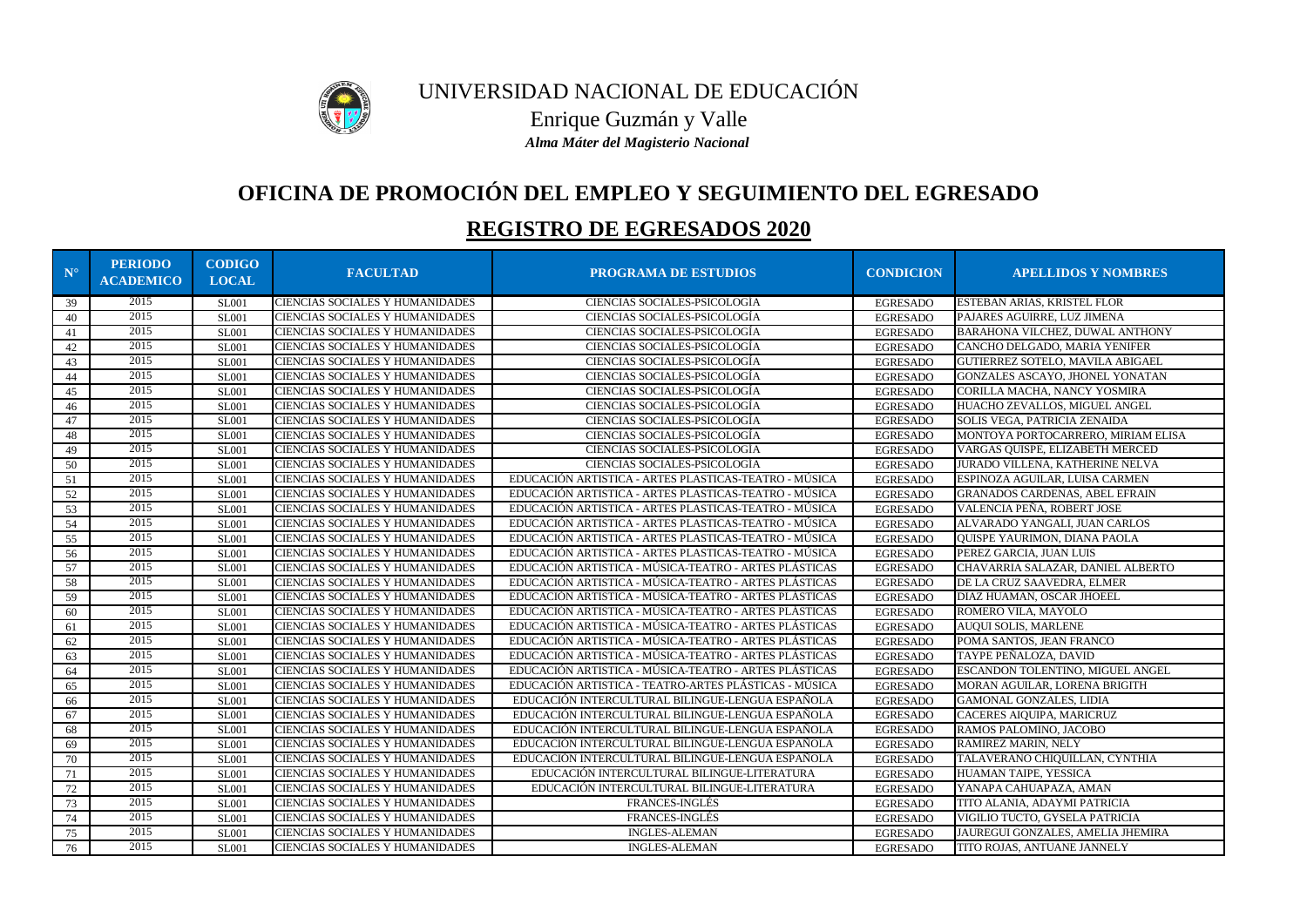

# **OFICINA DE PROMOCIÓN DEL EMPLEO Y SEGUIMIENTO DEL EGRESADO**

| $N^{\circ}$ | <b>PERIODO</b><br><b>ACADEMICO</b> | <b>CODIGO</b><br><b>LOCAL</b> | <b>FACULTAD</b>                        | <b>PROGRAMA DE ESTUDIOS</b>                           | <b>CONDICION</b> | <b>APELLIDOS Y NOMBRES</b>             |
|-------------|------------------------------------|-------------------------------|----------------------------------------|-------------------------------------------------------|------------------|----------------------------------------|
| 39          | 2015                               | <b>SL001</b>                  | <b>CIENCIAS SOCIALES Y HUMANIDADES</b> | CIENCIAS SOCIALES-PSICOLOGÍA                          | <b>EGRESADO</b>  | ESTEBAN ARIAS, KRISTEL FLOR            |
| 40          | 2015                               | <b>SL001</b>                  | <b>CIENCIAS SOCIALES Y HUMANIDADES</b> | CIENCIAS SOCIALES-PSICOLOGÍA                          | <b>EGRESADO</b>  | PAJARES AGUIRRE, LUZ JIMENA            |
| 41          | 2015                               | <b>SL001</b>                  | CIENCIAS SOCIALES Y HUMANIDADES        | CIENCIAS SOCIALES-PSICOLOGÍA                          | <b>EGRESADO</b>  | <b>BARAHONA VILCHEZ, DUWAL ANTHONY</b> |
| 42          | 2015                               | <b>SL001</b>                  | CIENCIAS SOCIALES Y HUMANIDADES        | CIENCIAS SOCIALES-PSICOLOGÍA                          | <b>EGRESADO</b>  | CANCHO DELGADO, MARIA YENIFER          |
| 43          | 2015                               | <b>SL001</b>                  | <b>CIENCIAS SOCIALES Y HUMANIDADES</b> | CIENCIAS SOCIALES-PSICOLOGÍA                          | <b>EGRESADO</b>  | GUTIERREZ SOTELO, MAVILA ABIGAEL       |
| 44          | 2015                               | <b>SL001</b>                  | CIENCIAS SOCIALES Y HUMANIDADES        | CIENCIAS SOCIALES-PSICOLOGÍA                          | <b>EGRESADO</b>  | GONZALES ASCAYO, JHONEL YONATAN        |
| 45          | 2015                               | <b>SL001</b>                  | <b>CIENCIAS SOCIALES Y HUMANIDADES</b> | CIENCIAS SOCIALES-PSICOLOGÍA                          | <b>EGRESADO</b>  | CORILLA MACHA, NANCY YOSMIRA           |
| 46          | 2015                               | <b>SL001</b>                  | <b>CIENCIAS SOCIALES Y HUMANIDADES</b> | CIENCIAS SOCIALES-PSICOLOGÍA                          | <b>EGRESADO</b>  | HUACHO ZEVALLOS, MIGUEL ANGEL          |
| 47          | 2015                               | <b>SL001</b>                  | <b>CIENCIAS SOCIALES Y HUMANIDADES</b> | CIENCIAS SOCIALES-PSICOLOGÍA                          | <b>EGRESADO</b>  | SOLIS VEGA, PATRICIA ZENAIDA           |
| 48          | 2015                               | <b>SL001</b>                  | CIENCIAS SOCIALES Y HUMANIDADES        | CIENCIAS SOCIALES-PSICOLOGÍA                          | <b>EGRESADO</b>  | MONTOYA PORTOCARRERO, MIRIAM ELISA     |
| 49          | 2015                               | <b>SL001</b>                  | CIENCIAS SOCIALES Y HUMANIDADES        | CIENCIAS SOCIALES-PSICOLOGÍA                          | <b>EGRESADO</b>  | VARGAS QUISPE, ELIZABETH MERCED        |
| 50          | 2015                               | <b>SL001</b>                  | <b>CIENCIAS SOCIALES Y HUMANIDADES</b> | CIENCIAS SOCIALES-PSICOLOGÍA                          | <b>EGRESADO</b>  | JURADO VILLENA, KATHERINE NELVA        |
| 51          | 2015                               | <b>SL001</b>                  | <b>CIENCIAS SOCIALES Y HUMANIDADES</b> | EDUCACIÓN ARTISTICA - ARTES PLASTICAS-TEATRO - MÚSICA | <b>EGRESADO</b>  | ESPINOZA AGUILAR, LUISA CARMEN         |
| 52          | 2015                               | <b>SL001</b>                  | <b>CIENCIAS SOCIALES Y HUMANIDADES</b> | EDUCACIÓN ARTISTICA - ARTES PLASTICAS-TEATRO - MÚSICA | <b>EGRESADO</b>  | <b>GRANADOS CARDENAS, ABEL EFRAIN</b>  |
| 53          | 2015                               | <b>SL001</b>                  | <b>CIENCIAS SOCIALES Y HUMANIDADES</b> | EDUCACIÓN ARTISTICA - ARTES PLASTICAS-TEATRO - MÚSICA | <b>EGRESADO</b>  | VALENCIA PEÑA, ROBERT JOSE             |
| 54          | 2015                               | <b>SL001</b>                  | CIENCIAS SOCIALES Y HUMANIDADES        | EDUCACIÓN ARTISTICA - ARTES PLASTICAS-TEATRO - MÚSICA | <b>EGRESADO</b>  | ALVARADO YANGALI, JUAN CARLOS          |
| 55          | 2015                               | <b>SL001</b>                  | CIENCIAS SOCIALES Y HUMANIDADES        | EDUCACIÓN ARTISTICA - ARTES PLASTICAS-TEATRO - MÚSICA | <b>EGRESADO</b>  | QUISPE YAURIMON, DIANA PAOLA           |
| 56          | 2015                               | <b>SL001</b>                  | CIENCIAS SOCIALES Y HUMANIDADES        | EDUCACIÓN ARTISTICA - ARTES PLASTICAS-TEATRO - MÚSICA | <b>EGRESADO</b>  | PEREZ GARCIA, JUAN LUIS                |
| 57          | 2015                               | <b>SL001</b>                  | CIENCIAS SOCIALES Y HUMANIDADES        | EDUCACIÓN ARTISTICA - MÚSICA-TEATRO - ARTES PLÁSTICAS | <b>EGRESADO</b>  | CHAVARRIA SALAZAR, DANIEL ALBERTO      |
| 58          | 2015                               | <b>SL001</b>                  | <b>CIENCIAS SOCIALES Y HUMANIDADES</b> | EDUCACIÓN ARTISTICA - MÚSICA-TEATRO - ARTES PLÁSTICAS | <b>EGRESADO</b>  | DE LA CRUZ SAAVEDRA, ELMER             |
| 59          | 2015                               | <b>SL001</b>                  | <b>CIENCIAS SOCIALES Y HUMANIDADES</b> | EDUCACIÓN ARTISTICA - MÚSICA-TEATRO - ARTES PLÁSTICAS | <b>EGRESADO</b>  | DIAZ HUAMAN, OSCAR JHOEEL              |
| 60          | 2015                               | <b>SL001</b>                  | <b>CIENCIAS SOCIALES Y HUMANIDADES</b> | EDUCACIÓN ARTISTICA - MÚSICA-TEATRO - ARTES PLÁSTICAS | <b>EGRESADO</b>  | ROMERO VILA, MAYOLO                    |
| 61          | 2015                               | <b>SL001</b>                  | CIENCIAS SOCIALES Y HUMANIDADES        | EDUCACIÓN ARTISTICA - MÚSICA-TEATRO - ARTES PLÁSTICAS | <b>EGRESADO</b>  | AUQUI SOLIS, MARLENE                   |
| 62          | 2015                               | <b>SL001</b>                  | <b>CIENCIAS SOCIALES Y HUMANIDADES</b> | EDUCACIÓN ARTISTICA - MÚSICA-TEATRO - ARTES PLÁSTICAS | <b>EGRESADO</b>  | POMA SANTOS, JEAN FRANCO               |
| 63          | 2015                               | <b>SL001</b>                  | <b>CIENCIAS SOCIALES Y HUMANIDADES</b> | EDUCACIÓN ARTISTICA - MÚSICA-TEATRO - ARTES PLÁSTICAS | <b>EGRESADO</b>  | TAYPE PEÑALOZA, DAVID                  |
| 64          | 2015                               | <b>SL001</b>                  | <b>CIENCIAS SOCIALES Y HUMANIDADES</b> | EDUCACIÓN ARTISTICA - MÚSICA-TEATRO - ARTES PLÁSTICAS | <b>EGRESADO</b>  | ESCANDON TOLENTINO, MIGUEL ANGEL       |
| 65          | 2015                               | <b>SL001</b>                  | CIENCIAS SOCIALES Y HUMANIDADES        | EDUCACIÓN ARTISTICA - TEATRO-ARTES PLÁSTICAS - MÚSICA | <b>EGRESADO</b>  | MORAN AGUILAR, LORENA BRIGITH          |
| 66          | 2015                               | <b>SL001</b>                  | <b>CIENCIAS SOCIALES Y HUMANIDADES</b> | EDUCACIÓN INTERCULTURAL BILINGUE-LENGUA ESPAÑOLA      | <b>EGRESADO</b>  | <b>GAMONAL GONZALES, LIDIA</b>         |
| 67          | 2015                               | <b>SL001</b>                  | <b>CIENCIAS SOCIALES Y HUMANIDADES</b> | EDUCACIÓN INTERCULTURAL BILINGUE-LENGUA ESPAÑOLA      | <b>EGRESADO</b>  | CACERES AIQUIPA, MARICRUZ              |
| 68          | 2015                               | <b>SL001</b>                  | <b>CIENCIAS SOCIALES Y HUMANIDADES</b> | EDUCACIÓN INTERCULTURAL BILINGUE-LENGUA ESPAÑOLA      | <b>EGRESADO</b>  | RAMOS PALOMINO, JACOBO                 |
| 69          | 2015                               | SL <sub>001</sub>             | <b>CIENCIAS SOCIALES Y HUMANIDADES</b> | EDUCACIÓN INTERCULTURAL BILINGUE-LENGUA ESPAÑOLA      | <b>EGRESADO</b>  | RAMIREZ MARIN, NELY                    |
| 70          | 2015                               | <b>SL001</b>                  | <b>CIENCIAS SOCIALES Y HUMANIDADES</b> | EDUCACIÓN INTERCULTURAL BILINGUE-LENGUA ESPAÑOLA      | <b>EGRESADO</b>  | TALAVERANO CHIQUILLAN, CYNTHIA         |
| 71          | 2015                               | <b>SL001</b>                  | <b>CIENCIAS SOCIALES Y HUMANIDADES</b> | EDUCACIÓN INTERCULTURAL BILINGUE-LITERATURA           | <b>EGRESADO</b>  | HUAMAN TAIPE, YESSICA                  |
| 72          | 2015                               | <b>SL001</b>                  | <b>CIENCIAS SOCIALES Y HUMANIDADES</b> | EDUCACIÓN INTERCULTURAL BILINGUE-LITERATURA           | <b>EGRESADO</b>  | YANAPA CAHUAPAZA, AMAN                 |
| 73          | 2015                               | <b>SL001</b>                  | <b>CIENCIAS SOCIALES Y HUMANIDADES</b> | FRANCES-INGLÉS                                        | <b>EGRESADO</b>  | TITO ALANIA, ADAYMI PATRICIA           |
| 74          | 2015                               | <b>SL001</b>                  | CIENCIAS SOCIALES Y HUMANIDADES        | <b>FRANCES-INGLÉS</b>                                 | <b>EGRESADO</b>  | VIGILIO TUCTO, GYSELA PATRICIA         |
| 75          | 2015                               | <b>SL001</b>                  | <b>CIENCIAS SOCIALES Y HUMANIDADES</b> | <b>INGLES-ALEMAN</b>                                  | <b>EGRESADO</b>  | JAUREGUI GONZALES, AMELIA JHEMIRA      |
| 76          | 2015                               | <b>SL001</b>                  | <b>CIENCIAS SOCIALES Y HUMANIDADES</b> | <b>INGLES-ALEMAN</b>                                  | <b>EGRESADO</b>  | TITO ROJAS, ANTUANE JANNELY            |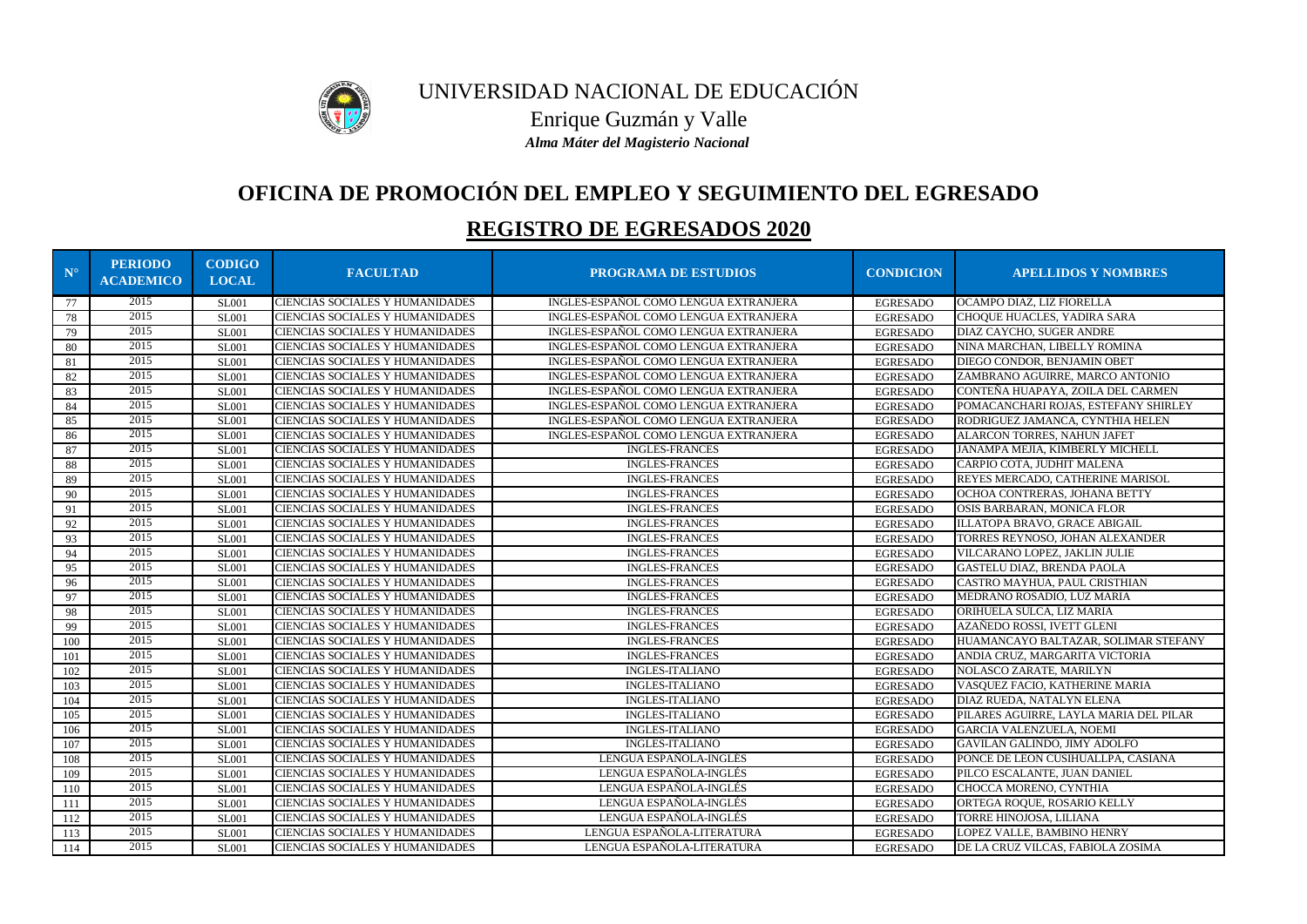

# **OFICINA DE PROMOCIÓN DEL EMPLEO Y SEGUIMIENTO DEL EGRESADO**

| $N^{\circ}$ | <b>PERIODO</b><br><b>ACADEMICO</b> | <b>CODIGO</b><br><b>LOCAL</b> | <b>FACULTAD</b>                        | <b>PROGRAMA DE ESTUDIOS</b>           | <b>CONDICION</b> | <b>APELLIDOS Y NOMBRES</b>             |
|-------------|------------------------------------|-------------------------------|----------------------------------------|---------------------------------------|------------------|----------------------------------------|
| 77          | 2015                               | <b>SL001</b>                  | CIENCIAS SOCIALES Y HUMANIDADES        | INGLES-ESPAÑOL COMO LENGUA EXTRANJERA | <b>EGRESADO</b>  | OCAMPO DIAZ, LIZ FIORELLA              |
| 78          | 2015                               | <b>SL001</b>                  | CIENCIAS SOCIALES Y HUMANIDADES        | INGLES-ESPAÑOL COMO LENGUA EXTRANJERA | <b>EGRESADO</b>  | CHOQUE HUACLES, YADIRA SARA            |
| 79          | 2015                               | <b>SL001</b>                  | CIENCIAS SOCIALES Y HUMANIDADES        | INGLES-ESPAÑOL COMO LENGUA EXTRANJERA | <b>EGRESADO</b>  | DIAZ CAYCHO, SUGER ANDRE               |
| 80          | 2015                               | <b>SL001</b>                  | CIENCIAS SOCIALES Y HUMANIDADES        | INGLES-ESPAÑOL COMO LENGUA EXTRANJERA | <b>EGRESADO</b>  | NINA MARCHAN, LIBELLY ROMINA           |
| 81          | 2015                               | <b>SL001</b>                  | CIENCIAS SOCIALES Y HUMANIDADES        | INGLES-ESPAÑOL COMO LENGUA EXTRANJERA | <b>EGRESADO</b>  | DIEGO CONDOR, BENJAMIN OBET            |
| 82          | 2015                               | <b>SL001</b>                  | CIENCIAS SOCIALES Y HUMANIDADES        | INGLES-ESPAÑOL COMO LENGUA EXTRANJERA | <b>EGRESADO</b>  | ZAMBRANO AGUIRRE, MARCO ANTONIO        |
| 83          | 2015                               | <b>SL001</b>                  | CIENCIAS SOCIALES Y HUMANIDADES        | INGLES-ESPAÑOL COMO LENGUA EXTRANJERA | <b>EGRESADO</b>  | CONTEÑA HUAPAYA, ZOILA DEL CARMEN      |
| 84          | 2015                               | <b>SL001</b>                  | CIENCIAS SOCIALES Y HUMANIDADES        | INGLES-ESPAÑOL COMO LENGUA EXTRANJERA | <b>EGRESADO</b>  | POMACANCHARI ROJAS, ESTEFANY SHIRLEY   |
| 85          | 2015                               | <b>SL001</b>                  | CIENCIAS SOCIALES Y HUMANIDADES        | INGLES-ESPAÑOL COMO LENGUA EXTRANJERA | <b>EGRESADO</b>  | RODRIGUEZ JAMANCA, CYNTHIA HELEN       |
| 86          | 2015                               | <b>SL001</b>                  | CIENCIAS SOCIALES Y HUMANIDADES        | INGLES-ESPAÑOL COMO LENGUA EXTRANJERA | <b>EGRESADO</b>  | ALARCON TORRES, NAHUN JAFET            |
| 87          | 2015                               | <b>SL001</b>                  | CIENCIAS SOCIALES Y HUMANIDADES        | <b>INGLES-FRANCES</b>                 | <b>EGRESADO</b>  | JANAMPA MEJIA, KIMBERLY MICHELL        |
| 88          | 2015                               | <b>SL001</b>                  | CIENCIAS SOCIALES Y HUMANIDADES        | <b>INGLES-FRANCES</b>                 | <b>EGRESADO</b>  | CARPIO COTA, JUDHIT MALENA             |
| 89          | 2015                               | <b>SL001</b>                  | CIENCIAS SOCIALES Y HUMANIDADES        | <b>INGLES-FRANCES</b>                 | <b>EGRESADO</b>  | REYES MERCADO, CATHERINE MARISOL       |
| 90          | 2015                               | <b>SL001</b>                  | CIENCIAS SOCIALES Y HUMANIDADES        | <b>INGLES-FRANCES</b>                 | <b>EGRESADO</b>  | OCHOA CONTRERAS, JOHANA BETTY          |
| 91          | 2015                               | <b>SL001</b>                  | CIENCIAS SOCIALES Y HUMANIDADES        | <b>INGLES-FRANCES</b>                 | <b>EGRESADO</b>  | OSIS BARBARAN, MONICA FLOR             |
| 92          | 2015                               | <b>SL001</b>                  | CIENCIAS SOCIALES Y HUMANIDADES        | <b>INGLES-FRANCES</b>                 | <b>EGRESADO</b>  | ILLATOPA BRAVO, GRACE ABIGAIL          |
| 93          | 2015                               | <b>SL001</b>                  | CIENCIAS SOCIALES Y HUMANIDADES        | <b>INGLES-FRANCES</b>                 | <b>EGRESADO</b>  | TORRES REYNOSO, JOHAN ALEXANDER        |
| 94          | 2015                               | <b>SL001</b>                  | CIENCIAS SOCIALES Y HUMANIDADES        | <b>INGLES-FRANCES</b>                 | <b>EGRESADO</b>  | VILCARANO LOPEZ, JAKLIN JULIE          |
| 95          | 2015                               | <b>SL001</b>                  | CIENCIAS SOCIALES Y HUMANIDADES        | <b>INGLES-FRANCES</b>                 | <b>EGRESADO</b>  | GASTELU DIAZ, BRENDA PAOLA             |
| 96          | 2015                               | <b>SL001</b>                  | CIENCIAS SOCIALES Y HUMANIDADES        | <b>INGLES-FRANCES</b>                 | <b>EGRESADO</b>  | CASTRO MAYHUA, PAUL CRISTHIAN          |
| 97          | 2015                               | <b>SL001</b>                  | CIENCIAS SOCIALES Y HUMANIDADES        | <b>INGLES-FRANCES</b>                 | <b>EGRESADO</b>  | MEDRANO ROSADIO, LUZ MARIA             |
| 98          | 2015                               | <b>SL001</b>                  | CIENCIAS SOCIALES Y HUMANIDADES        | <b>INGLES-FRANCES</b>                 | <b>EGRESADO</b>  | ORIHUELA SULCA, LIZ MARIA              |
| 99          | 2015                               | <b>SL001</b>                  | CIENCIAS SOCIALES Y HUMANIDADES        | <b>INGLES-FRANCES</b>                 | <b>EGRESADO</b>  | AZAÑEDO ROSSI, IVETT GLENI             |
| 100         | 2015                               | <b>SL001</b>                  | CIENCIAS SOCIALES Y HUMANIDADES        | <b>INGLES-FRANCES</b>                 | <b>EGRESADO</b>  | HUAMANCAYO BALTAZAR, SOLIMAR STEFANY   |
| 101         | 2015                               | <b>SL001</b>                  | CIENCIAS SOCIALES Y HUMANIDADES        | <b>INGLES-FRANCES</b>                 | <b>EGRESADO</b>  | ANDIA CRUZ, MARGARITA VICTORIA         |
| 102         | 2015                               | <b>SL001</b>                  | CIENCIAS SOCIALES Y HUMANIDADES        | <b>INGLES-ITALIANO</b>                | <b>EGRESADO</b>  | NOLASCO ZARATE, MARILYN                |
| 103         | 2015                               | <b>SL001</b>                  | CIENCIAS SOCIALES Y HUMANIDADES        | <b>INGLES-ITALIANO</b>                | <b>EGRESADO</b>  | VASQUEZ FACIO, KATHERINE MARIA         |
| 104         | 2015                               | <b>SL001</b>                  | CIENCIAS SOCIALES Y HUMANIDADES        | <b>INGLES-ITALIANO</b>                | <b>EGRESADO</b>  | DIAZ RUEDA, NATALYN ELENA              |
| 105         | 2015                               | <b>SL001</b>                  | CIENCIAS SOCIALES Y HUMANIDADES        | <b>INGLES-ITALIANO</b>                | <b>EGRESADO</b>  | PILARES AGUIRRE, LAYLA MARIA DEL PILAR |
| 106         | 2015                               | <b>SL001</b>                  | CIENCIAS SOCIALES Y HUMANIDADES        | <b>INGLES-ITALIANO</b>                | <b>EGRESADO</b>  | <b>GARCIA VALENZUELA, NOEMI</b>        |
| 107         | 2015                               | <b>SL001</b>                  | CIENCIAS SOCIALES Y HUMANIDADES        | <b>INGLES-ITALIANO</b>                | <b>EGRESADO</b>  | GAVILAN GALINDO, JIMY ADOLFO           |
| 108         | 2015                               | <b>SL001</b>                  | CIENCIAS SOCIALES Y HUMANIDADES        | LENGUA ESPAÑOLA-INGLÉS                | <b>EGRESADO</b>  | PONCE DE LEON CUSIHUALLPA, CASIANA     |
| 109         | 2015                               | <b>SL001</b>                  | CIENCIAS SOCIALES Y HUMANIDADES        | LENGUA ESPAÑOLA-INGLÉS                | <b>EGRESADO</b>  | PILCO ESCALANTE, JUAN DANIEL           |
| 110         | 2015                               | <b>SL001</b>                  | CIENCIAS SOCIALES Y HUMANIDADES        | LENGUA ESPAÑOLA-INGLÉS                | <b>EGRESADO</b>  | CHOCCA MORENO, CYNTHIA                 |
| 111         | 2015                               | <b>SL001</b>                  | CIENCIAS SOCIALES Y HUMANIDADES        | LENGUA ESPAÑOLA-INGLÉS                | <b>EGRESADO</b>  | ORTEGA ROQUE, ROSARIO KELLY            |
| 112         | 2015                               | <b>SL001</b>                  | CIENCIAS SOCIALES Y HUMANIDADES        | LENGUA ESPAÑOLA-INGLÉS                | <b>EGRESADO</b>  | TORRE HINOJOSA, LILIANA                |
| 113         | 2015                               | <b>SL001</b>                  | CIENCIAS SOCIALES Y HUMANIDADES        | LENGUA ESPAÑOLA-LITERATURA            | <b>EGRESADO</b>  | LOPEZ VALLE, BAMBINO HENRY             |
| 114         | 2015                               | <b>SL001</b>                  | <b>CIENCIAS SOCIALES Y HUMANIDADES</b> | LENGUA ESPAÑOLA-LITERATURA            | <b>EGRESADO</b>  | DE LA CRUZ VILCAS, FABIOLA ZOSIMA      |